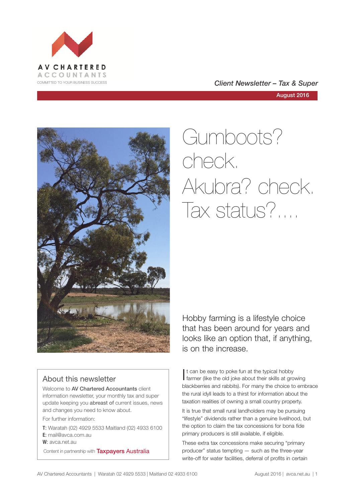

# COMMITTED TO YOUR BUSINESS SUCCESS **COMMITTED TO YOUR BUSINESS SUCCESS**

August 2016



# Gumboots? check. Akubra? check. Tax status?....

# About this newsletter

Welcome to **AV Chartered Accountants** client information newsletter, your monthly tax and super update keeping you abreast of current issues, news and changes you need to know about.

For further information:

**T**: Waratah (02) 4929 5533 Maitland (02) 4933 6100 **E**: mail@avca.com.au

**W**: avca.net.au

Content in partnership with **Taxpayers Australia** 

Hobby farming is a lifestyle choice that has been around for years and looks like an option that, if anything, is on the increase.

It can be easy to poke fun at the typical hobby<br>farmer (like the old joke about their skills at gro farmer (like the old joke about their skills at growing blackberries and rabbits). For many the choice to embrace the rural idyll leads to a thirst for information about the taxation realities of owning a small country property.

It is true that small rural landholders may be pursuing "lifestyle" dividends rather than a genuine livelihood, but the option to claim the tax concessions for bona fide primary producers is still available, if eligible.

These extra tax concessions make securing "primary producer" status tempting — such as the three-year write-off for water facilities, deferral of profits in certain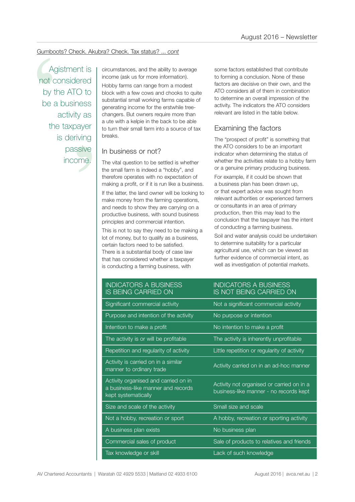# Gumboots? Check. Akubra? Check. Tax status? ... *cont*

Tess<br>
y as<br>
ayer<br>
iving<br>
sive<br>
pme. Agistment is not considered by the ATO to be a business activity as the taxpayer is deriving passive income.

income (ask us for more information).

Gumboots? Check. Akubra? Check. Tax status? ... cont<br>
Agistment is<br>
not considered<br>
by the ATO to<br>
be a business<br>
activity as<br>
a different a mate for more information).<br>
be a business<br>
activity as<br>
a different a kelpie in Hobby farms can range from a modest block with a few cows and chooks to quite substantial small working farms capable of generating income for the erstwhile treechangers. But owners require more than a ute with a kelpie in the back to be able to turn their small farm into a source of tax breaks.

# In business or not?

The vital question to be settled is whether the small farm is indeed a "hobby", and therefore operates with no expectation of making a profit, or if it is run like a business.

If the latter, the land owner will be looking to make money from the farming operations, and needs to show they are carrying on a productive business, with sound business principles and commercial intention.

This is not to say they need to be making a lot of money, but to qualify as a business, certain factors need to be satisfied. There is a substantial body of case law that has considered whether a taxpayer is conducting a farming business, with

some factors established that contribute to forming a conclusion. None of these factors are decisive on their own, and the ATO considers all of them in combination to determine an overall impression of the activity. The indicators the ATO considers relevant are listed in the table below.

# Examining the factors

The "prospect of profit" is something that the ATO considers to be an important indicator when determining the status of whether the activities relate to a hobby farm or a genuine primary producing business.

For example, if it could be shown that a business plan has been drawn up, or that expert advice was sought from relevant authorities or experienced farmers or consultants in an area of primary production, then this may lead to the conclusion that the taxpayer has the intent of conducting a farming business.

Soil and water analysis could be undertaken to determine suitability for a particular agricultural use, which can be viewed as further evidence of commercial intent, as well as investigation of potential markets.

INDICATORS A BUSINESS IS NOT BEING CARRIED ON

# INDICATORS A BUSINESS IS BEING CARRIED ON

| Significant commercial activity                                                                   | Not a significant commercial activity                                               |
|---------------------------------------------------------------------------------------------------|-------------------------------------------------------------------------------------|
| Purpose and intention of the activity                                                             | No purpose or intention                                                             |
| Intention to make a profit                                                                        | No intention to make a profit                                                       |
| The activity is or will be profitable                                                             | The activity is inherently unprofitable                                             |
| Repetition and regularity of activity                                                             | Little repetition or regularity of activity                                         |
| Activity is carried on in a similar<br>manner to ordinary trade                                   | Activity carried on in an ad-hoc manner                                             |
| Activity organised and carried on in<br>a business-like manner and records<br>kept systematically | Activity not organised or carried on in a<br>business-like manner - no records kept |
| Size and scale of the activity                                                                    | Small size and scale                                                                |
| Not a hobby, recreation or sport                                                                  | A hobby, recreation or sporting activity                                            |
| A business plan exists                                                                            | No business plan                                                                    |
| Commercial sales of product                                                                       | Sale of products to relatives and friends                                           |
| Tax knowledge or skill                                                                            | Lack of such knowledge                                                              |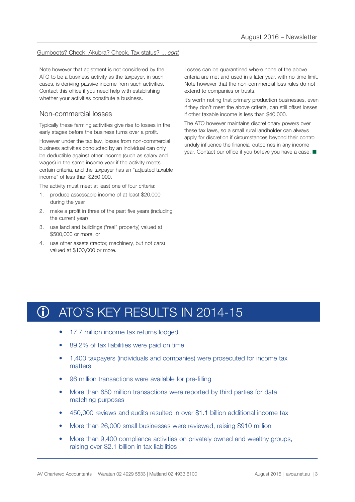# Gumboots? Check. Akubra? Check. Tax status? ... *cont*

Note however that agistment is not considered by the ATO to be a business activity as the taxpayer, in such cases, is deriving passive income from such activities. Contact this office if you need help with establishing whether your activities constitute a business.

# Non-commercial losses

Typically these farming activities give rise to losses in the early stages before the business turns over a profit.

However under the tax law, losses from non-commercial business activities conducted by an individual can only be deductible against other income (such as salary and wages) in the same income year if the activity meets certain criteria, and the taxpayer has an "adjusted taxable income" of less than \$250,000.

The activity must meet at least one of four criteria:

- 1. produce assessable income of at least \$20,000 during the year
- 2. make a profit in three of the past five years (including the current year)
- 3. use land and buildings ("real" property) valued at \$500,000 or more, or
- 4. use other assets (tractor, machinery, but not cars) valued at \$100,000 or more.

Losses can be quarantined where none of the above criteria are met and used in a later year, with no time limit. Note however that the non-commercial loss rules do not extend to companies or trusts.

It's worth noting that primary production businesses, even if they don't meet the above criteria, can still offset losses if other taxable income is less than \$40,000.

The ATO however maintains discretionary powers over these tax laws, so a small rural landholder can always apply for discretion if circumstances beyond their control unduly influence the financial outcomes in any income year. Contact our office if you believe you have a case.  $\blacksquare$ 

# ATO'S KEY RESULTS IN 2014-15 **G**

- 17.7 million income tax returns lodged
- 89.2% of tax liabilities were paid on time
- 1,400 taxpayers (individuals and companies) were prosecuted for income tax matters
- 96 million transactions were available for pre-filling
- More than 650 million transactions were reported by third parties for data matching purposes
- 450,000 reviews and audits resulted in over \$1.1 billion additional income tax
- More than 26,000 small businesses were reviewed, raising \$910 million
- More than 9,400 compliance activities on privately owned and wealthy groups, raising over \$2.1 billion in tax liabilities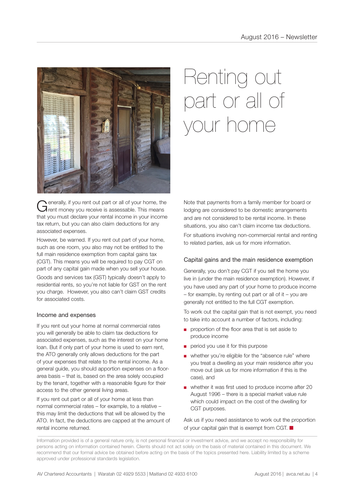

Generally, if you rent out part or all of your home, the Trent money you receive is assessable. This means that you must declare your rental income in your income tax return, but you can also claim deductions for any associated expenses.

However, be warned. If you rent out part of your home, such as one room, you also may not be entitled to the full main residence exemption from capital gains tax (CGT). This means you will be required to pay CGT on part of any capital gain made when you sell your house.

Goods and services tax (GST) typically doesn't apply to residential rents, so you're not liable for GST on the rent you charge. However, you also can't claim GST credits for associated costs.

# Income and expenses

If you rent out your home at normal commercial rates you will generally be able to claim tax deductions for associated expenses, such as the interest on your home loan. But if only part of your home is used to earn rent, the ATO generally only allows deductions for the part of your expenses that relate to the rental income. As a general guide, you should apportion expenses on a floorarea basis – that is, based on the area solely occupied by the tenant, together with a reasonable figure for their access to the other general living areas.

If you rent out part or all of your home at less than normal commercial rates – for example, to a relative – this may limit the deductions that will be allowed by the ATO. In fact, the deductions are capped at the amount of rental income returned.

# Renting out part or all of your home

Note that payments from a family member for board or lodging are considered to be domestic arrangements and are not considered to be rental income. In these situations, you also can't claim income tax deductions.

For situations involving non-commercial rental and renting to related parties, ask us for more information.

## Capital gains and the main residence exemption

Generally, you don't pay CGT if you sell the home you live in (under the main residence exemption). However, if you have used any part of your home to produce income  $-$  for example, by renting out part or all of it  $-$  you are generally not entitled to the full CGT exemption.

To work out the capital gain that is not exempt, you need to take into account a number of factors, including:

- proportion of the floor area that is set aside to produce income
- period you use it for this purpose
- whether you're eligible for the "absence rule" where you treat a dwelling as your main residence after you move out (ask us for more information if this is the case), and
- whether it was first used to produce income after 20 August 1996 – there is a special market value rule which could impact on the cost of the dwelling for CGT purposes.

Ask us if you need assistance to work out the proportion of your capital gain that is exempt from CGT.  $\blacksquare$ 

Information provided is of a general nature only, is not personal financial or investment advice, and we accept no responsibility for persons acting on information contained herein. Clients should not act solely on the basis of material contained in this document. We recommend that our formal advice be obtained before acting on the basis of the topics presented here. Liability limited by a scheme approved under professional standards legislation.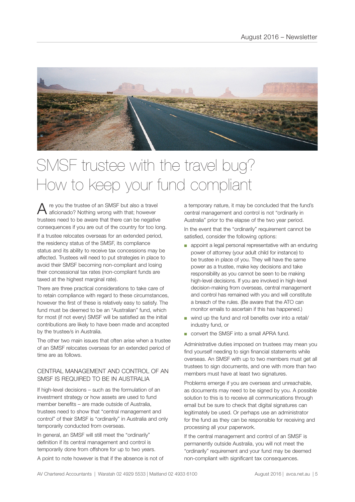

# SMSF trustee with the travel bug? How to keep your fund compliant

 $A$  re you the trustee of an SMSF but also a travel<br>a aficionado? Nothing wrong with that; however trustees need to be aware that there can be negative consequences if you are out of the country for too long. If a trustee relocates overseas for an extended period, the residency status of the SMSF, its compliance status and its ability to receive tax concessions may be affected. Trustees will need to put strategies in place to avoid their SMSF becoming non-compliant and losing their concessional tax rates (non-compliant funds are taxed at the highest marginal rate).

There are three practical considerations to take care of to retain compliance with regard to these circumstances, however the first of these is relatively easy to satisfy. The fund must be deemed to be an "Australian" fund, which for most (if not every) SMSF will be satisfied as the initial contributions are likely to have been made and accepted by the trustee/s in Australia.

The other two main issues that often arise when a trustee of an SMSF relocates overseas for an extended period of time are as follows.

# CENTRAL MANAGEMENT AND CONTROL OF AN SMSF IS REQUIRED TO BE IN AUSTRALIA

If high-level decisions – such as the formulation of an investment strategy or how assets are used to fund member benefits – are made outside of Australia, trustees need to show that "central management and control" of their SMSF is "ordinarily" in Australia and only temporarily conducted from overseas.

In general, an SMSF will still meet the "ordinarily" definition if its central management and control is temporarily done from offshore for up to two years.

A point to note however is that if the absence is not of

a temporary nature, it may be concluded that the fund's central management and control is not "ordinarily in Australia" prior to the elapse of the two year period. In the event that the "ordinarily" requirement cannot be satisfied, consider the following options:

- appoint a legal personal representative with an enduring power of attorney (your adult child for instance) to be trustee in place of you. They will have the same power as a trustee, make key decisions and take responsibility as you cannot be seen to be making high-level decisions. If you are involved in high-level decision-making from overseas, central management and control has remained with you and will constitute a breach of the rules. (Be aware that the ATO can monitor emails to ascertain if this has happened.)
- wind up the fund and roll benefits over into a retail/ industry fund, or
- convert the SMSF into a small APRA fund.

Administrative duties imposed on trustees may mean you find yourself needing to sign financial statements while overseas. An SMSF with up to two members must get all trustees to sign documents, and one with more than two members must have at least two signatures.

Problems emerge if you are overseas and unreachable, as documents may need to be signed by you. A possible solution to this is to receive all communications through email but be sure to check that digital signatures can legitimately be used. Or perhaps use an administrator for the fund as they can be responsible for receiving and processing all your paperwork.

If the central management and control of an SMSF is permanently outside Australia, you will not meet the "ordinarily" requirement and your fund may be deemed non-compliant with significant tax consequences.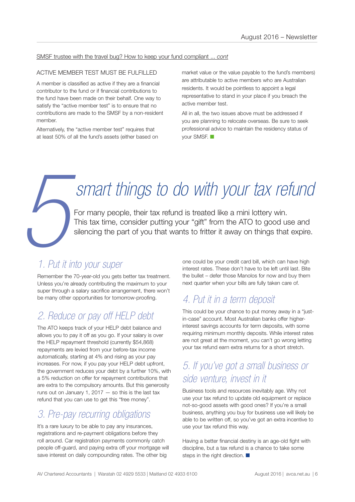# SMSF trustee with the travel bug? How to keep your fund compliant ... *cont*

# ACTIVE MEMBER TEST MUST BE FULFILLED

A member is classified as active if they are a financial contributor to the fund or if financial contributions to the fund have been made on their behalf. One way to satisfy the "active member test" is to ensure that no contributions are made to the SMSF by a non-resident member.

Alternatively, the "active member test" requires that at least 50% of all the fund's assets (either based on market value or the value payable to the fund's members) are attributable to active members who are Australian residents. It would be pointless to appoint a legal representative to stand in your place if you breach the active member test.

All in all, the two issues above must be addressed if you are planning to relocate overseas. Be sure to seek professional advice to maintain the residency status of your SMSF.  $\blacksquare$ 

# *smart things to do with your tax refund*

For many people, their tax refund is treated like a mini lottery win. This tax time, consider putting your "gift" from the ATO to good use and silencing the part of you that wants to fritter it away on things that expire.

# **5** *1. Put it into your super*

Remember the 70-year-old you gets better tax treatment. Unless you're already contributing the maximum to your super through a salary sacrifice arrangement, there won't be many other opportunities for tomorrow-proofing.

# *2. Reduce or pay off HELP debt*

The ATO keeps track of your HELP debt balance and allows you to pay it off as you go. If your salary is over the HELP repayment threshold (currently \$54,868) repayments are levied from your before-tax income automatically, starting at 4% and rising as your pay increases. For now, if you pay your HELP debt upfront, the government reduces your debt by a further 10%, with a 5% reduction on offer for repayment contributions that are extra to the compulsory amounts. But this generosity runs out on January 1,  $2017 -$  so this is the last tax refund that you can use to get this "free money".

# *3. Pre-pay recurring obligations*

It's a rare luxury to be able to pay any insurances, registrations and re-payment obligations before they roll around. Car registration payments commonly catch people off-guard, and paying extra off your mortgage will save interest on daily compounding rates. The other big

one could be your credit card bill, which can have high interest rates. These don't have to be left until last. Bite the bullet – defer those Manolos for now and buy them next quarter when your bills are fully taken care of.

# *4. Put it in a term deposit*

This could be your chance to put money away in a "justin-case" account. Most Australian banks offer higherinterest savings accounts for term deposits, with some requiring minimum monthly deposits. While interest rates are not great at the moment, you can't go wrong letting your tax refund earn extra returns for a short stretch.

# *5. If you've got a small business or side venture, invest in it*

Business tools and resources inevitably age. Why not use your tax refund to update old equipment or replace not-so-good assets with good ones? If you're a small business, anything you buy for business use will likely be able to be written off, so you've got an extra incentive to use your tax refund this way.

Having a better financial destiny is an age-old fight with discipline, but a tax refund is a chance to take some steps in the right direction.  $\blacksquare$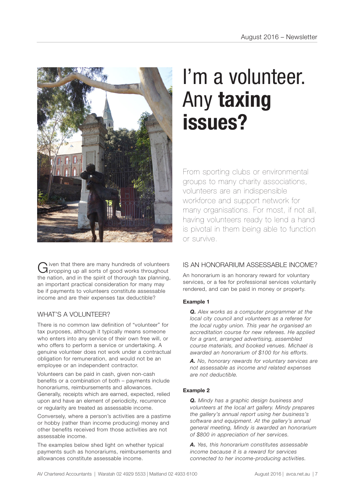

Given that there are many hundreds of volunteers<br>Gipropping up all sorts of good works throughout the nation, and in the spirit of thorough tax planning, an important practical consideration for many may be if payments to volunteers constitute assessable income and are their expenses tax deductible?

# WHAT'S A VOLUNTEER?

There is no common law definition of "volunteer" for tax purposes, although it typically means someone who enters into any service of their own free will, or who offers to perform a service or undertaking. A genuine volunteer does not work under a contractual obligation for remuneration, and would not be an employee or an independent contractor.

Volunteers can be paid in cash, given non-cash benefits or a combination of both – payments include honorariums, reimbursements and allowances. Generally, receipts which are earned, expected, relied upon and have an element of periodicity, recurrence or regularity are treated as assessable income.

Conversely, where a person's activities are a pastime or hobby (rather than income producing) money and other benefits received from those activities are not assessable income.

The examples below shed light on whether typical payments such as honorariums, reimbursements and allowances constitute assessable income.

# I'm a volunteer. Any **taxing issues?**

From sporting clubs or environmental groups to many charity associations, volunteers are an indispensible workforce and support network for many organisations. For most, if not all, having volunteers ready to lend a hand is pivotal in them being able to function or survive.

# IS AN HONORARIUM ASSESSARI F INCOME?

An honorarium is an honorary reward for voluntary services, or a fee for professional services voluntarily rendered, and can be paid in money or property.

# **Example 1**

*Q. Alex works as a computer programmer at the local city council and volunteers as a referee for the local rugby union. This year he organised an accreditation course for new referees. He applied for a grant, arranged advertising, assembled course materials, and booked venues. Michael is awarded an honorarium of \$100 for his efforts.* 

*A. No, honorary rewards for voluntary services are not assessable as income and related expenses are not deductible.* 

# **Example 2**

*Q. Mindy has a graphic design business and volunteers at the local art gallery. Mindy prepares the gallery's annual report using her business's software and equipment. At the gallery's annual general meeting, Mindy is awarded an honorarium of \$800 in appreciation of her services.*

*A. Yes, this honorarium constitutes assessable income because it is a reward for services connected to her income-producing activities.*